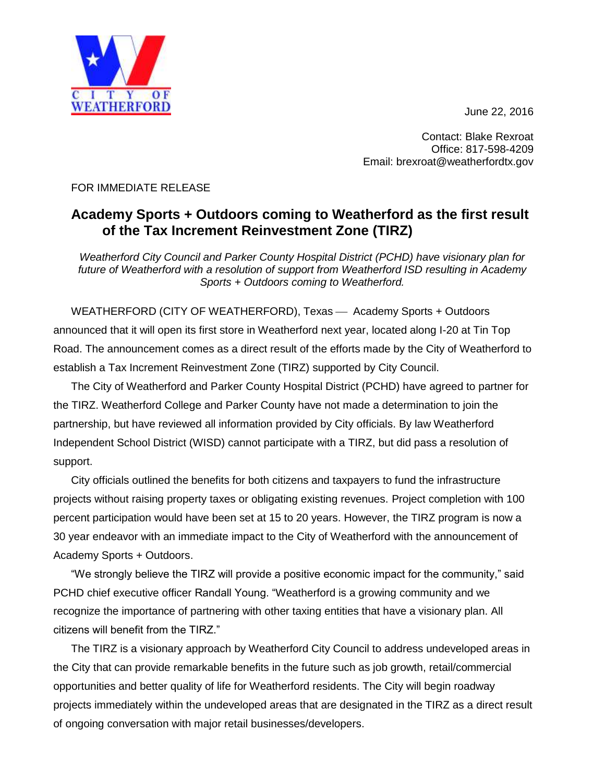June 22, 2016



T Y  $0F$ WEATHERFORD

FOR IMMEDIATE RELEASE

## **Academy Sports + Outdoors coming to Weatherford as the first result of the Tax Increment Reinvestment Zone (TIRZ)**

*Weatherford City Council and Parker County Hospital District (PCHD) have visionary plan for future of Weatherford with a resolution of support from Weatherford ISD resulting in Academy Sports + Outdoors coming to Weatherford.*

WEATHERFORD (CITY OF WEATHERFORD), Texas - Academy Sports + Outdoors announced that it will open its first store in Weatherford next year, located along I-20 at Tin Top Road. The announcement comes as a direct result of the efforts made by the City of Weatherford to establish a Tax Increment Reinvestment Zone (TIRZ) supported by City Council.

The City of Weatherford and Parker County Hospital District (PCHD) have agreed to partner for the TIRZ. Weatherford College and Parker County have not made a determination to join the partnership, but have reviewed all information provided by City officials. By law Weatherford Independent School District (WISD) cannot participate with a TIRZ, but did pass a resolution of support.

City officials outlined the benefits for both citizens and taxpayers to fund the infrastructure projects without raising property taxes or obligating existing revenues. Project completion with 100 percent participation would have been set at 15 to 20 years. However, the TIRZ program is now a 30 year endeavor with an immediate impact to the City of Weatherford with the announcement of Academy Sports + Outdoors.

"We strongly believe the TIRZ will provide a positive economic impact for the community," said PCHD chief executive officer Randall Young. "Weatherford is a growing community and we recognize the importance of partnering with other taxing entities that have a visionary plan. All citizens will benefit from the TIRZ."

The TIRZ is a visionary approach by Weatherford City Council to address undeveloped areas in the City that can provide remarkable benefits in the future such as job growth, retail/commercial opportunities and better quality of life for Weatherford residents. The City will begin roadway projects immediately within the undeveloped areas that are designated in the TIRZ as a direct result of ongoing conversation with major retail businesses/developers.